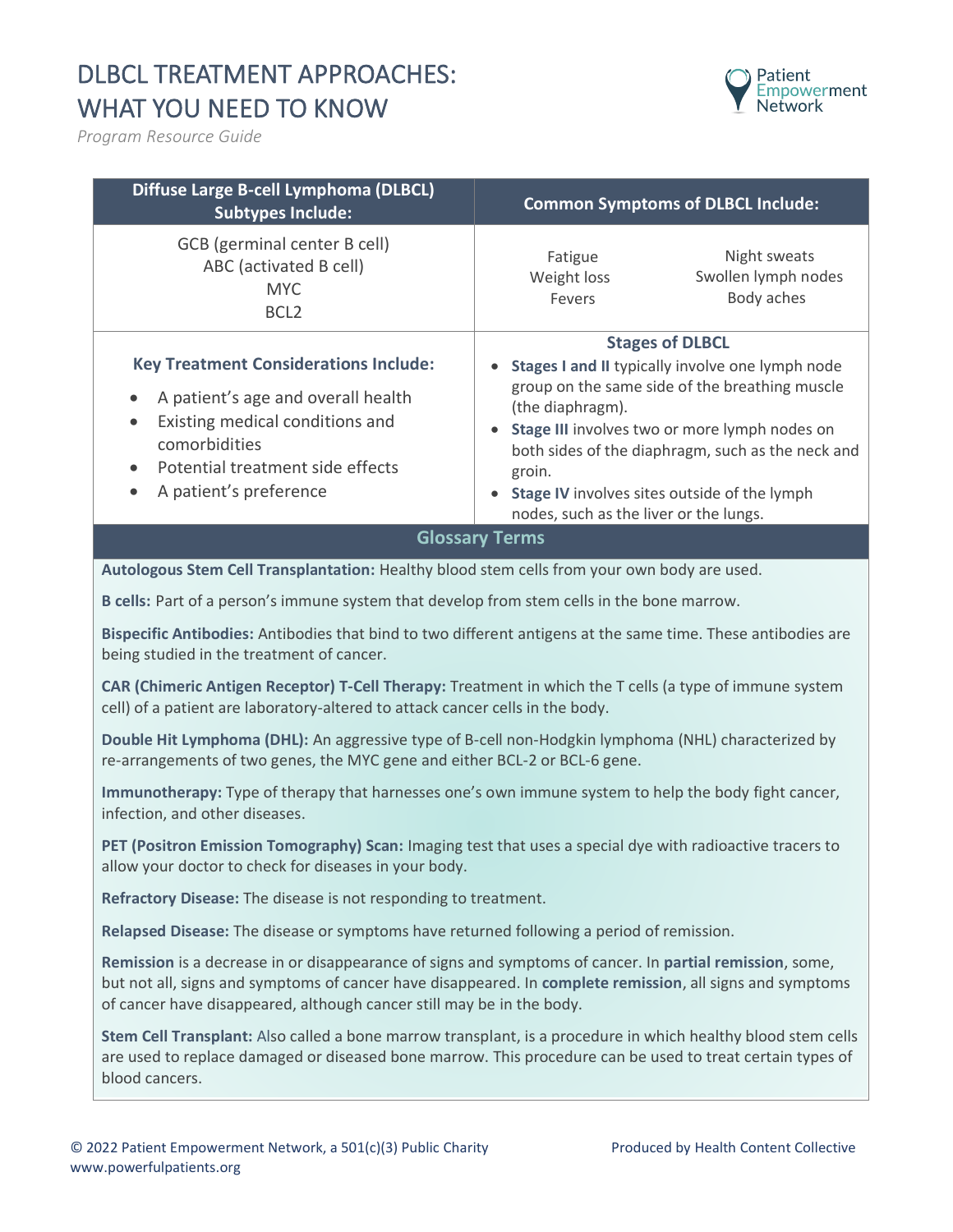## DLBCL TREATMENT APPROACHES: WHAT YOU NEED TO KNOW



*Program Resource Guide*

| Diffuse Large B-cell Lymphoma (DLBCL)<br><b>Subtypes Include:</b>                                                                                                                                    | <b>Common Symptoms of DLBCL Include:</b>                                                                                                                                                                                                                                                                                                                                |
|------------------------------------------------------------------------------------------------------------------------------------------------------------------------------------------------------|-------------------------------------------------------------------------------------------------------------------------------------------------------------------------------------------------------------------------------------------------------------------------------------------------------------------------------------------------------------------------|
| GCB (germinal center B cell)<br>ABC (activated B cell)<br><b>MYC</b><br>BCL <sub>2</sub>                                                                                                             | Night sweats<br>Fatigue<br>Swollen lymph nodes<br>Weight loss<br>Body aches<br>Fevers                                                                                                                                                                                                                                                                                   |
| <b>Key Treatment Considerations Include:</b><br>A patient's age and overall health<br>Existing medical conditions and<br>comorbidities<br>Potential treatment side effects<br>A patient's preference | <b>Stages of DLBCL</b><br>Stages I and II typically involve one lymph node<br>$\bullet$<br>group on the same side of the breathing muscle<br>(the diaphragm).<br>Stage III involves two or more lymph nodes on<br>both sides of the diaphragm, such as the neck and<br>groin.<br>Stage IV involves sites outside of the lymph<br>nodes, such as the liver or the lungs. |
|                                                                                                                                                                                                      | <b>Glossary Terms</b>                                                                                                                                                                                                                                                                                                                                                   |
| Autologous Stem Cell Transplantation: Healthy blood stem cells from your own body are used.                                                                                                          |                                                                                                                                                                                                                                                                                                                                                                         |
| B cells: Part of a person's immune system that develop from stem cells in the bone marrow.                                                                                                           |                                                                                                                                                                                                                                                                                                                                                                         |
| being studied in the treatment of cancer.                                                                                                                                                            | Bispecific Antibodies: Antibodies that bind to two different antigens at the same time. These antibodies are                                                                                                                                                                                                                                                            |
| CAR (Chimeric Antigen Receptor) T-Cell Therapy: Treatment in which the T cells (a type of immune system<br>cell) of a patient are laboratory-altered to attack cancer cells in the body.             |                                                                                                                                                                                                                                                                                                                                                                         |
| Double Hit Lymphoma (DHL): An aggressive type of B-cell non-Hodgkin lymphoma (NHL) characterized by<br>re-arrangements of two genes, the MYC gene and either BCL-2 or BCL-6 gene.                    |                                                                                                                                                                                                                                                                                                                                                                         |
| Immunotherapy: Type of therapy that harnesses one's own immune system to help the body fight cancer,<br>infection, and other diseases.                                                               |                                                                                                                                                                                                                                                                                                                                                                         |
| PET (Positron Emission Tomography) Scan: Imaging test that uses a special dye with radioactive tracers to<br>allow your doctor to check for diseases in your body.                                   |                                                                                                                                                                                                                                                                                                                                                                         |
| Refractory Disease: The disease is not responding to treatment.                                                                                                                                      |                                                                                                                                                                                                                                                                                                                                                                         |
| Relapsed Disease: The disease or symptoms have returned following a period of remission.                                                                                                             |                                                                                                                                                                                                                                                                                                                                                                         |
| Remission is a decrease in or disappearance of signs and symptoms of cancer. In partial remission, some,<br>of cancer have disappeared, although cancer still may be in the body.                    | but not all, signs and symptoms of cancer have disappeared. In complete remission, all signs and symptoms                                                                                                                                                                                                                                                               |

**Stem Cell Transplant:** Also called a bone marrow transplant, is a procedure in which healthy blood stem cells are used to replace damaged or diseased bone marrow. This procedure can be used to treat certain types of blood cancers.